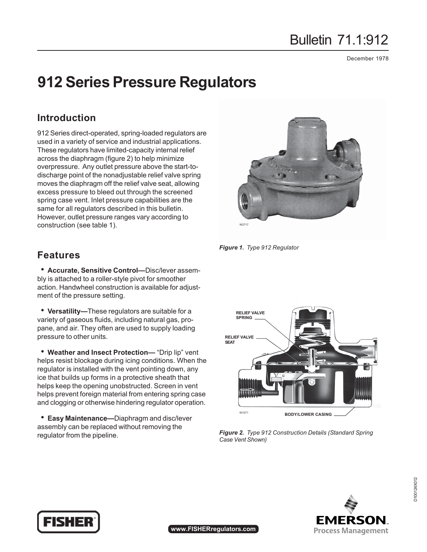# Bulletin 71.1:912

December 1978

# **912 Series Pressure Regulators**

### **Introduction**

912 Series direct-operated, spring-loaded regulators are used in a variety of service and industrial applications. These regulators have limited-capacity internal relief across the diaphragm (figure 2) to help minimize overpressure. Any outlet pressure above the start-todischarge point of the nonadjustable relief valve spring moves the diaphragm off the relief valve seat, allowing excess pressure to bleed out through the screened spring case vent. Inlet pressure capabilities are the same for all regulators described in this bulletin. However, outlet pressure ranges vary according to construction (see table 1).

### **Features**

**\* Accurate, Sensitive Control—Disc/lever assem**bly is attached to a roller-style pivot for smoother action. Handwheel construction is available for adjustment of the pressure setting.

• Versatility-These regulators are suitable for a variety of gaseous fluids, including natural gas, propane, and air. They often are used to supply loading pressure to other units.

**• Weather and Insect Protection—** "Drip lip" vent helps resist blockage during icing conditions. When the regulator is installed with the vent pointing down, any ice that builds up forms in a protective sheath that helps keep the opening unobstructed. Screen in vent helps prevent foreign material from entering spring case and clogging or otherwise hindering regulator operation.

**Easy Maintenance—Diaphragm and disc/lever** assembly can be replaced without removing the regulator from the pipeline.



*Figure 1. Type 912 Regulator*



*Figure 2. Type 912 Construction Details (Standard Spring Case Vent Shown)*





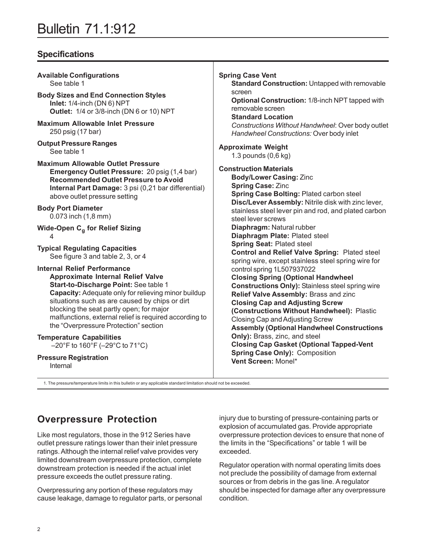## Bulletin 71.1:912

### **Specifications**

| <b>Available Configurations</b>                                                                                                                                                                                                 | <b>Spring Case Vent</b>                                                                                                                 |
|---------------------------------------------------------------------------------------------------------------------------------------------------------------------------------------------------------------------------------|-----------------------------------------------------------------------------------------------------------------------------------------|
| See table 1                                                                                                                                                                                                                     | <b>Standard Construction: Untapped with removable</b>                                                                                   |
| <b>Body Sizes and End Connection Styles</b><br>Inlet: 1/4-inch (DN 6) NPT<br>Outlet: 1/4 or 3/8-inch (DN 6 or 10) NPT                                                                                                           | screen<br>Optional Construction: 1/8-inch NPT tapped with<br>removable screen<br><b>Standard Location</b>                               |
| <b>Maximum Allowable Inlet Pressure</b>                                                                                                                                                                                         | Constructions Without Handwheel: Over body outlet                                                                                       |
| 250 psig (17 bar)                                                                                                                                                                                                               | Handwheel Constructions: Over body inlet                                                                                                |
| <b>Output Pressure Ranges</b>                                                                                                                                                                                                   | <b>Approximate Weight</b>                                                                                                               |
| See table 1                                                                                                                                                                                                                     | 1.3 pounds $(0,6$ kg $)$                                                                                                                |
| <b>Maximum Allowable Outlet Pressure</b><br>Emergency Outlet Pressure: 20 psig (1,4 bar)<br><b>Recommended Outlet Pressure to Avoid</b><br>Internal Part Damage: 3 psi (0,21 bar differential)<br>above outlet pressure setting | <b>Construction Materials</b><br><b>Body/Lower Casing: Zinc</b><br><b>Spring Case: Zinc</b><br>Spring Case Bolting: Plated carbon steel |
| <b>Body Port Diameter</b><br>0.073 inch (1,8 mm)                                                                                                                                                                                | Disc/Lever Assembly: Nitrile disk with zinc lever,<br>stainless steel lever pin and rod, and plated carbon<br>steel lever screws        |
| Wide-Open C <sub>a</sub> for Relief Sizing                                                                                                                                                                                      | Diaphragm: Natural rubber                                                                                                               |
| 4                                                                                                                                                                                                                               | Diaphragm Plate: Plated steel                                                                                                           |
| <b>Typical Regulating Capacities</b><br>See figure 3 and table 2, 3, or 4                                                                                                                                                       | Spring Seat: Plated steel<br>Control and Relief Valve Spring: Plated steel<br>spring wire, except stainless steel spring wire for       |
| <b>Internal Relief Performance</b>                                                                                                                                                                                              | control spring 1L507937022                                                                                                              |
| <b>Approximate Internal Relief Valve</b>                                                                                                                                                                                        | <b>Closing Spring (Optional Handwheel</b>                                                                                               |
| Start-to-Discharge Point: See table 1                                                                                                                                                                                           | <b>Constructions Only): Stainless steel spring wire</b>                                                                                 |
| <b>Capacity:</b> Adequate only for relieving minor buildup                                                                                                                                                                      | Relief Valve Assembly: Brass and zinc                                                                                                   |
| situations such as are caused by chips or dirt                                                                                                                                                                                  | <b>Closing Cap and Adjusting Screw</b>                                                                                                  |
| blocking the seat partly open; for major                                                                                                                                                                                        | (Constructions Without Handwheel): Plastic                                                                                              |
| malfunctions, external relief is required according to                                                                                                                                                                          | Closing Cap and Adjusting Screw                                                                                                         |
| the "Overpressure Protection" section                                                                                                                                                                                           | <b>Assembly (Optional Handwheel Constructions</b>                                                                                       |
| <b>Temperature Capabilities</b>                                                                                                                                                                                                 | Only): Brass, zinc, and steel                                                                                                           |
| $-20^{\circ}$ F to 160 $^{\circ}$ F ( $-29^{\circ}$ C to 71 $^{\circ}$ C)                                                                                                                                                       | <b>Closing Cap Gasket (Optional Tapped-Vent</b>                                                                                         |
| <b>Pressure Registration</b>                                                                                                                                                                                                    | <b>Spring Case Only): Composition</b>                                                                                                   |
| Internal                                                                                                                                                                                                                        | Vent Screen: Monel*                                                                                                                     |

**Overpressure Protection**

Like most regulators, those in the 912 Series have outlet pressure ratings lower than their inlet pressure ratings. Although the internal relief valve provides very limited downstream overpressure protection, complete downstream protection is needed if the actual inlet pressure exceeds the outlet pressure rating.

1. The pressure/temperature limits in this bulletin or any applicable standard limitation should not be exceeded.

Overpressuring any portion of these regulators may cause leakage, damage to regulator parts, or personal injury due to bursting of pressure-containing parts or explosion of accumulated gas. Provide appropriate overpressure protection devices to ensure that none of the limits in the "Specifications" or table 1 will be exceeded.

Regulator operation with normal operating limits does not preclude the possibility of damage from external sources or from debris in the gas line. A regulator should be inspected for damage after any overpressure condition.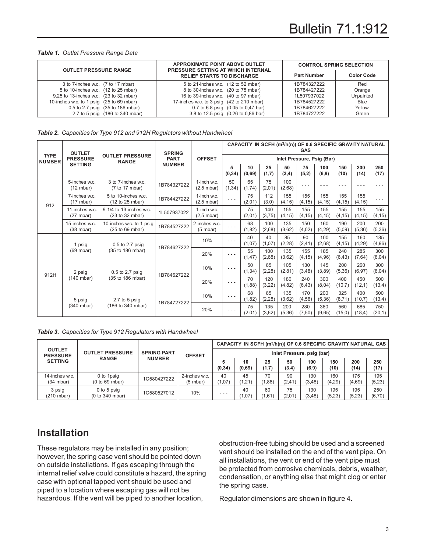#### *Table 1. Outlet Pressure Range Data*

| <b>OUTLET PRESSURE RANGE</b>                                                                                                                                                                       | <b>APPROXIMATE POINT ABOVE OUTLET</b><br>PRESSURE SETTING AT WHICH INTERNAL                                                                                                                           | <b>CONTROL SPRING SELECTION</b>                                         |                                                     |  |  |
|----------------------------------------------------------------------------------------------------------------------------------------------------------------------------------------------------|-------------------------------------------------------------------------------------------------------------------------------------------------------------------------------------------------------|-------------------------------------------------------------------------|-----------------------------------------------------|--|--|
|                                                                                                                                                                                                    | <b>RELIEF STARTS TO DISCHARGE</b>                                                                                                                                                                     | <b>Part Number</b>                                                      | <b>Color Code</b>                                   |  |  |
| 3 to 7-inches w.c. (7 to 17 mbar)<br>5 to 10-inches w.c. (12 to 25 mbar)<br>9.25 to 13-inches w.c. (23 to 32 mbar)<br>10-inches w.c. to 1 psig (25 to 69 mbar)<br>0.5 to 2.7 psig (35 to 186 mbar) | 5 to 21-inches w.c. (12 to 52 mbar)<br>8 to 30-inches w.c. (20 to 75 mbar)<br>16 to 39-inches w.c. (40 to 97 mbar)<br>17-inches w.c. to 3 psig (42 to 210 mbar)<br>0.7 to 6.8 psig (0.05 to 0.47 bar) | 1B784327222<br>1B784427222<br>1L507937022<br>1B784527222<br>1B784627222 | Red<br>Orange<br>Unpainted<br><b>Blue</b><br>Yellow |  |  |
| 2.7 to 5 psig (186 to 340 mbar)                                                                                                                                                                    | 3.8 to 12.5 psig (0,26 to 0,86 bar)                                                                                                                                                                   | 1B784727222                                                             | Green                                               |  |  |

|  | Table 2. Capacities for Type 912 and 912H Regulators without Handwheel |  |  |  |  |  |
|--|------------------------------------------------------------------------|--|--|--|--|--|
|--|------------------------------------------------------------------------|--|--|--|--|--|

|                              | <b>OUTLET</b>                                                   |                                               | <b>SPRING</b> |                                     | CAPACITY IN SCFH (m <sup>3</sup> /h(n)) OF 0.6 SPECIFIC GRAVITY NATURAL<br><b>GAS</b> |               |               |                |                |                |                |                |                |
|------------------------------|-----------------------------------------------------------------|-----------------------------------------------|---------------|-------------------------------------|---------------------------------------------------------------------------------------|---------------|---------------|----------------|----------------|----------------|----------------|----------------|----------------|
| <b>TYPE</b><br><b>NUMBER</b> | <b>PRESSURE</b>                                                 | <b>OUTLET PRESSURE</b><br><b>RANGE</b>        | <b>PART</b>   | <b>OFFSET</b>                       | Inlet Pressure, Psig (Bar)                                                            |               |               |                |                |                |                |                |                |
|                              | <b>SETTING</b>                                                  |                                               | <b>NUMBER</b> |                                     | 5<br>(0, 34)                                                                          | 10<br>(0,69)  | 25<br>(1,7)   | 50<br>(3,4)    | 75<br>(5,2)    | 100<br>(6, 9)  | 150<br>(10)    | 200<br>(14)    | 250<br>(17)    |
|                              | 5-inches w.c.<br>(12 mbar)                                      | 3 to 7-inches w.c.<br>(7 to 17 mbar)          | 1B784327222   | 1-inch w.c.<br>$(2.5 \text{ mbar})$ | 50<br>(1, 34)                                                                         | 65<br>(1,74)  | 75<br>(2,01)  | 100<br>(2,68)  |                |                |                |                |                |
| 912                          | 7-inches w.c.<br>(17 mbar)                                      | 5 to 10-inches w.c.<br>(12 to 25 mbar)        | 1B784427222   | 1-inch w.c.<br>$(2.5 \text{ mbar})$ | $- - -$                                                                               | 75<br>(2,01)  | 112<br>(3,0)  | 155<br>(4, 15) | 155<br>(4, 15) | 155<br>(4, 15) | 155<br>(4, 15) | 155<br>(4, 15) | - - -          |
|                              | 11-inches w.c.<br>(27 mbar)                                     | 9-1/4 to 13-inches w.c.<br>(23 to 32 mbar)    | 1L507937022   | 1-inch w.c.<br>$(2,5 \text{ mbar})$ | $- - -$                                                                               | 75<br>(2,01)  | 140<br>(3,75) | 155<br>(4, 15) | 155<br>(4, 15) | 155<br>(4, 15) | 155<br>(4, 15) | 155<br>(4, 15) | 155<br>(4, 15) |
|                              | 15-inches w.c.<br>$(38 \text{ mbar})$                           | 10-inches w.c. to 1 psig<br>$(25$ to 69 mbar) | 1B784527222   | 2-inches w.c.<br>$(5 \text{ mbar})$ | $- - -$                                                                               | 68<br>(1, 82) | 100<br>(2,68) | 135<br>(3,62)  | 150<br>(4,02)  | 160<br>(4,29)  | 190<br>(5,09)  | 200<br>(5, 36) | 200<br>(5, 36) |
|                              | $0.5$ to 2.7 psig<br>1 psig                                     | 1B784627222                                   | 10%           |                                     | 40<br>(1,07)                                                                          | 40<br>(1,07)  | 85<br>(2, 28) | 90<br>(2, 41)  | 100<br>(2,68)  | 155<br>(4, 15) | 160<br>(4, 29) | 185<br>(4,96)  |                |
|                              | (69 mbar)                                                       | (35 to 186 mbar)                              |               | 20%                                 | $- - -$                                                                               | 55<br>(1, 47) | 100<br>(2,68) | 135<br>(3,62)  | 155<br>(4, 15) | 185<br>(4,96)  | 240<br>(6, 43) | 285<br>(7,64)  | 300<br>(8,04)  |
|                              | $0.5$ to 2.7 psig<br>2 psig<br>$(140$ mbar)<br>(35 to 186 mbar) |                                               | 1B784627222   | 10%                                 | $- - -$                                                                               | 50<br>(1, 34) | 85<br>(2, 28) | 105<br>(2, 81) | 130<br>(3, 48) | 145<br>(3,89)  | 200<br>(5,36)  | 260<br>(6, 97) | 300<br>(8,04)  |
| 912H                         |                                                                 |                                               |               | 20%                                 | $- - -$                                                                               | 70<br>(1,88)  | 120<br>(3,22) | 180<br>(4, 82) | 240<br>(6, 43) | 300<br>(8,04)  | 400<br>(10,7)  | 450<br>(12,1)  | 500<br>(13,4)  |
|                              | 5 psig                                                          | 2.7 to 5 $psig$                               |               | 10%                                 | - - -                                                                                 | 68<br>(1,82)  | 85<br>(2, 28) | 135<br>(3,62)  | 170<br>(4, 56) | 200<br>(5,36)  | 325<br>(8,71)  | 400<br>(10,7)  | 500<br>(13,4)  |
|                              | 1B784727222<br>(186 to 340 mbar)<br>(340 mbar)                  |                                               |               | 20%                                 | - - -                                                                                 | 75<br>(2,01)  | 135<br>(3,62) | 200<br>(5,36)  | 280<br>(7,50)  | 360<br>(9,65)  | 560<br>(15,0)  | 685<br>(18,4)  | 750<br>(20,1)  |

|  |  |  |  | Table 3. Capacities for Type 912 Regulators with Handwheel |
|--|--|--|--|------------------------------------------------------------|
|--|--|--|--|------------------------------------------------------------|

| <b>OUTLET</b><br><b>PRESSURE</b><br><b>SETTING</b> |                                  |                    |                                     |              |                            |              |               |                | CAPACITY IN SCFH (m3/h(n)) OF 0.6 SPECIFIC GRAVITY NATURAL GAS |               |               |
|----------------------------------------------------|----------------------------------|--------------------|-------------------------------------|--------------|----------------------------|--------------|---------------|----------------|----------------------------------------------------------------|---------------|---------------|
|                                                    | <b>OUTLET PRESSURE</b>           | <b>SPRING PART</b> | <b>OFFSET</b>                       |              | Inlet Pressure, psig (bar) |              |               |                |                                                                |               |               |
|                                                    | <b>RANGE</b>                     | <b>NUMBER</b>      |                                     | 5<br>(0, 34) | 10<br>(0,69)               | 25<br>(1,7)  | 50<br>(3, 4)  | 100<br>(6, 9)  | 150<br>(10)                                                    | 200<br>(14)   | 250<br>(17)   |
| 14-inches w.c.<br>(34 mbar)                        | 0 to 1psig<br>(0 to 69 mbar)     | 1C580427222        | 2-inches w.c.<br>$(5 \text{ mbar})$ | 40<br>(1,07) | 45<br>(1, 21)              | 70<br>(1,88) | 90<br>(2, 41) | 130<br>(3, 48) | 160<br>(4, 29)                                                 | 175<br>(4,69) | 195<br>(5,23) |
| 3 psig<br>$(210 \text{ mbar})$                     | $0$ to 5 psig<br>(0 to 340 mbar) | 1C580527012        | 10%                                 | $- - -$      | 40<br>1,07                 | 60<br>(1,61) | 75<br>(2,01)  | 130<br>(3, 48) | 195<br>(5,23)                                                  | 195<br>(5,23) | 250<br>(6,70) |

### **Installation**

These regulators may be installed in any position; however, the spring case vent should be pointed down on outside installations. If gas escaping through the internal relief valve could constitute a hazard, the spring case with optional tapped vent should be used and piped to a location where escaping gas will not be hazardous. If the vent will be piped to another location,

obstruction-free tubing should be used and a screened vent should be installed on the end of the vent pipe. On all installations, the vent or end of the vent pipe must be protected from corrosive chemicals, debris, weather, condensation, or anything else that might clog or enter the spring case.

Regulator dimensions are shown in figure 4.